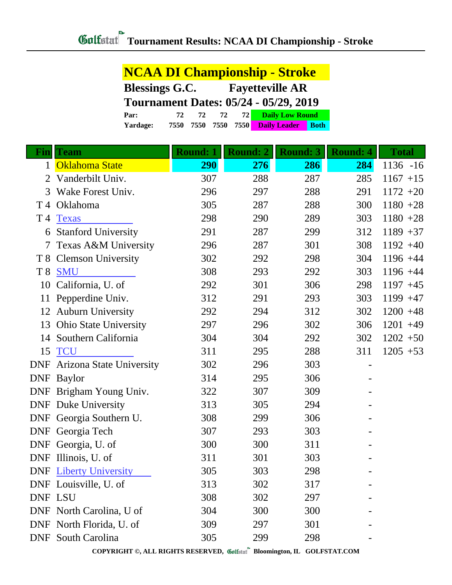|                | <b>NCAA DI Championship - Stroke</b> |                                              |                        |                                    |  |
|----------------|--------------------------------------|----------------------------------------------|------------------------|------------------------------------|--|
|                | <b>Blessings G.C.</b>                |                                              | <b>Fayetteville AR</b> |                                    |  |
|                |                                      | <b>Tournament Dates: 05/24 - 05/29, 2019</b> |                        |                                    |  |
|                | Par:                                 | 72<br>72<br>72                               | 72                     | <b>Daily Low Round</b>             |  |
|                | Yardage:                             | 7550<br>7550<br>7550                         | 7550                   | <b>Both</b><br><b>Daily Leader</b> |  |
|                |                                      |                                              |                        |                                    |  |
| Fin            | <b>Team</b>                          | <b>Round: 1</b>                              | <b>Round: 2</b>        | <b>Round: 3</b>                    |  |
| 1              | Oklahoma State                       | 290                                          | 276                    | 286                                |  |
| 2              | Vanderbilt Univ.                     | 307                                          | 288                    | 287                                |  |
| 3<br>T 4       | Wake Forest Univ.<br>Oklahoma        | 296<br>305                                   | 297<br>287             | 288<br>288                         |  |
| T 4            | <b>Texas</b>                         | 298                                          | 290                    | 289                                |  |
| 6              | <b>Stanford University</b>           | 291                                          | 287                    | 299                                |  |
| 7              | Texas A&M University                 | 296                                          | 287                    | 301                                |  |
| T8             | <b>Clemson University</b>            | 302                                          | 292                    | 298                                |  |
| T <sub>8</sub> | <b>SMU</b>                           | 308                                          | 293                    | 292                                |  |
| 10             | California, U. of                    | 292                                          | 301                    | 306                                |  |
| 11             | Pepperdine Univ.                     | 312                                          | 291                    | 293                                |  |
|                | 12 Auburn University                 | 292                                          | 294                    | 312                                |  |
| 13             | <b>Ohio State University</b>         | 297                                          | 296                    | 302                                |  |
| 14             | Southern California                  | 304                                          | 304                    | 292                                |  |
| 15             | <b>TCU</b>                           | 311                                          | 295                    | 288                                |  |
| <b>DNF</b>     | <b>Arizona State University</b>      | 302                                          | 296                    | 303                                |  |
| DNF            | <b>Baylor</b>                        | 314                                          | 295                    | 306                                |  |
|                | DNF Brigham Young Univ.              | 322                                          | 307                    | 309                                |  |
|                | <b>DNF</b> Duke University           | 313                                          | 305                    | 294                                |  |
|                | DNF Georgia Southern U.              | 308                                          | 299                    | 306                                |  |
|                | DNF Georgia Tech                     | 307                                          | 293                    | 303                                |  |
|                | DNF Georgia, U. of                   | 300                                          | 300                    | 311                                |  |
|                | DNF Illinois, U. of                  | 311                                          | 301                    | 303                                |  |
|                | <b>DNF</b> Liberty University        | 305                                          | 303                    | 298                                |  |
|                | DNF Louisville, U. of                | 313                                          | 302                    | 317                                |  |
| DNF LSU        |                                      | 308                                          | 302                    | 297                                |  |
|                | DNF North Carolina, U of             | 304                                          | 300                    | 300                                |  |
|                | DNF North Florida, U. of             | 309                                          | 297                    | 301                                |  |
|                | <b>DNF</b> South Carolina            | 305                                          | 299                    | 298                                |  |

**COPYRIGHT ©, ALL RIGHTS RESERVED, Bloomington, IL GOLFSTAT.COM**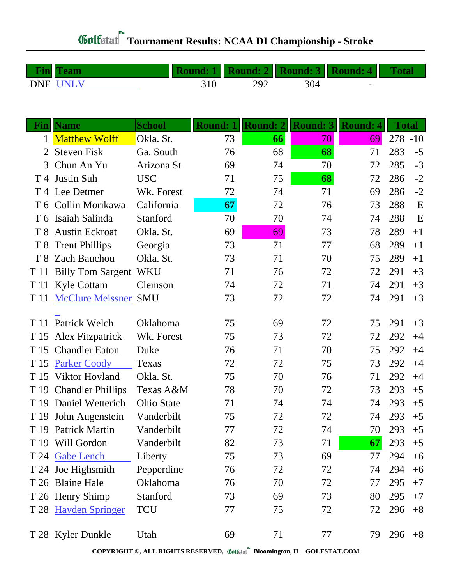|              | DNF UNLV                 |                   | 310             | 292             | 304             |                 |              |      |
|--------------|--------------------------|-------------------|-----------------|-----------------|-----------------|-----------------|--------------|------|
|              |                          |                   |                 |                 |                 |                 |              |      |
|              |                          |                   |                 |                 |                 |                 |              |      |
|              | <b>Fin</b>   Name        | <b>School</b>     | <b>Round: 1</b> | <b>Round: 2</b> | <b>Round: 3</b> | <b>Round: 4</b> | <b>Total</b> |      |
| $\mathbf{1}$ | <b>Matthew Wolff</b>     | Okla. St.         | 73              | 66              | 70              | 69              | $278 - 10$   |      |
| 2            | <b>Steven Fisk</b>       | Ga. South         | 76              | 68              | 68              | 71              | 283          | $-5$ |
| 3            | Chun An Yu               | Arizona St        | 69              | 74              | 70              | 72              | 285          | $-3$ |
| T 4          | <b>Justin Suh</b>        | <b>USC</b>        | 71              | 75              | 68              | 72              | 286          | $-2$ |
|              | T 4 Lee Detmer           | Wk. Forest        | 72              | 74              | 71              | 69              | 286          | $-2$ |
| T 6          | Collin Morikawa          | California        | 67              | 72              | 76              | 73              | 288          | E    |
|              | T 6 Isaiah Salinda       | Stanford          | 70              | 70              | 74              | 74              | 288          | E    |
| T 8          | <b>Austin Eckroat</b>    | Okla. St.         | 69              | 69              | 73              | 78              | 289          | $+1$ |
| T 8          | <b>Trent Phillips</b>    | Georgia           | 73              | 71              | 77              | 68              | 289          | $+1$ |
| T 8          | <b>Zach Bauchou</b>      | Okla. St.         | 73              | 71              | 70              | 75              | 289          | $+1$ |
| T 11         | <b>Billy Tom Sargent</b> | <b>WKU</b>        | 71              | 76              | 72              | 72              | 291          | $+3$ |
| T 11         | <b>Kyle Cottam</b>       | Clemson           | 74              | 72              | 71              | 74              | 291          | $+3$ |
| T 11         | <b>McClure Meissner</b>  | <b>SMU</b>        | 73              | 72              | 72              | 74              | 291          | $+3$ |
|              |                          |                   |                 |                 |                 |                 |              |      |
| T 11         | Patrick Welch            | Oklahoma          | 75              | 69              | 72              | 75              | 291          | $+3$ |
| T 15         | Alex Fitzpatrick         | Wk. Forest        | 75              | 73              | 72              | 72              | 292          | $+4$ |
| T 15         | <b>Chandler Eaton</b>    | Duke              | 76              | 71              | 70              | 75              | 292          | $+4$ |
| T 15         | <b>Parker Coody</b>      | Texas             | 72              | 72              | 75              | 73              | 292          | $+4$ |
| T 15         | Viktor Hovland           | Okla. St.         | 75              | 70              | 76              | 71              | 292          | $+4$ |
| T 19         | <b>Chandler Phillips</b> | Texas A&M         | 78              | 70              | 72              | 73              | 293          | $+5$ |
|              | T 19 Daniel Wetterich    | <b>Ohio State</b> | 71              | 74              | 74              | 74              | 293          | $+5$ |
|              | T 19 John Augenstein     | Vanderbilt        | 75              | 72              | 72              | 74              | 293          | $+5$ |
|              | T 19 Patrick Martin      | Vanderbilt        | 77              | 72              | 74              | 70              | 293          | $+5$ |
|              | T 19 Will Gordon         | Vanderbilt        | 82              | 73              | 71              | 67              | 293          | $+5$ |
|              | T 24 Gabe Lench          | Liberty           | 75              | 73              | 69              | 77              | 294          | $+6$ |
|              | T 24 Joe Highsmith       | Pepperdine        | 76              | 72              | 72              | 74              | 294          | $+6$ |
|              | T 26 Blaine Hale         | Oklahoma          | 76              | 70              | 72              | 77              | 295          | $+7$ |
|              | T 26 Henry Shimp         | Stanford          | 73              | 69              | 73              | 80              | 295          | $+7$ |
|              | T 28 Hayden Springer     | <b>TCU</b>        | 77              | 75              | 72              | 72              | 296          | $+8$ |
|              |                          |                   |                 |                 |                 |                 |              |      |
|              | T 28 Kyler Dunkle        | Utah              | 69              | 71              | 77              | 79              | 296          | $+8$ |

**Fin Team Round: 1 Round: 2 Round: 3 Round: 4 Total**

**COPYRIGHT ©, ALL RIGHTS RESERVED, Bloomington, IL GOLFSTAT.COM**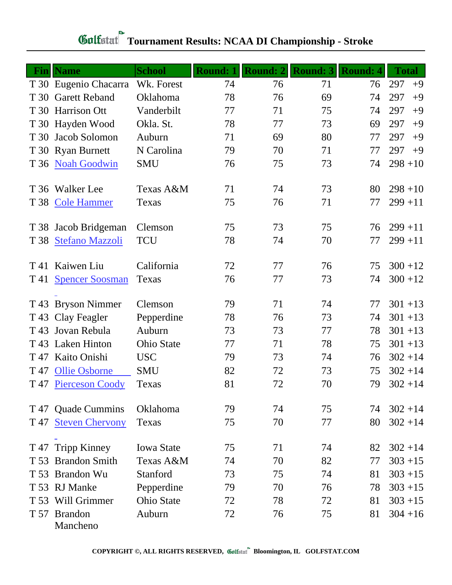| Fin  | <b>Name</b>              | <b>School</b>     | <b>Round: 1</b> | <b>Round: 2</b> | <b>Round: 3</b> | <b>Round: 4</b> | <b>Total</b> |
|------|--------------------------|-------------------|-----------------|-----------------|-----------------|-----------------|--------------|
|      | T 30 Eugenio Chacarra    | Wk. Forest        | 74              | 76              | 71              | 76              | 297<br>$+9$  |
| T 30 | <b>Garett Reband</b>     | Oklahoma          | 78              | 76              | 69              | 74              | 297<br>$+9$  |
|      | T 30 Harrison Ott        | Vanderbilt        | 77              | 71              | 75              | 74              | 297<br>$+9$  |
|      | T 30 Hayden Wood         | Okla. St.         | 78              | 77              | 73              | 69              | 297<br>$+9$  |
|      | T 30 Jacob Solomon       | Auburn            | 71              | 69              | 80              | 77              | 297<br>$+9$  |
|      | T 30 Ryan Burnett        | N Carolina        | 79              | 70              | 71              | 77              | 297<br>$+9$  |
|      | T 36 Noah Goodwin        | <b>SMU</b>        | 76              | 75              | 73              | 74              | $298 + 10$   |
|      | T 36 Walker Lee          | Texas A&M         | 71              | 74              | 73              | 80              | $298 + 10$   |
| T 38 | <b>Cole Hammer</b>       | Texas             | 75              | 76              | 71              | 77              | $299 + 11$   |
|      | T 38 Jacob Bridgeman     | Clemson           | 75              | 73              | 75              | 76              | $299 + 11$   |
| T 38 | <b>Stefano Mazzoli</b>   | <b>TCU</b>        | 78              | 74              | 70              | 77              | $299 + 11$   |
| T 41 | Kaiwen Liu               | California        | 72              | 77              | 76              | 75              | $300 + 12$   |
| T 41 | <b>Spencer Soosman</b>   | Texas             | 76              | 77              | 73              | 74              | $300 + 12$   |
|      | T 43 Bryson Nimmer       | Clemson           | 79              | 71              | 74              | 77              | $301 + 13$   |
|      | T 43 Clay Feagler        | Pepperdine        | 78              | 76              | 73              | 74              | $301 + 13$   |
|      | T 43 Jovan Rebula        | Auburn            | 73              | 73              | 77              | 78              | $301 + 13$   |
| T 43 | <b>Laken Hinton</b>      | <b>Ohio State</b> | 77              | 71              | 78              | 75              | $301 + 13$   |
|      | T 47 Kaito Onishi        | <b>USC</b>        | 79              | 73              | 74              | 76              | $302 + 14$   |
| T 47 | <b>Ollie Osborne</b>     | <b>SMU</b>        | 82              | 72              | 73              | 75              | $302 + 14$   |
|      | T 47 Pierceson Coody     | Texas             | 81              | 72              | 70              | 79              | $302 + 14$   |
|      | T 47 Quade Cummins       | Oklahoma          | 79              | 74              | 75              | 74              | $302 + 14$   |
| T 47 | <b>Steven Chervony</b>   | Texas             | 75              | 70              | 77              | 80              | $302 + 14$   |
| T 47 | <b>Tripp Kinney</b>      | <b>Iowa State</b> | 75              | 71              | 74              | 82              | $302 + 14$   |
| T 53 | <b>Brandon Smith</b>     | Texas A&M         | 74              | 70              | 82              | 77              | $303 + 15$   |
|      | T 53 Brandon Wu          | Stanford          | 73              | 75              | 74              | 81              | $303 + 15$   |
|      | T 53 RJ Manke            | Pepperdine        | 79              | 70              | 76              | 78              | $303 + 15$   |
| T 53 | Will Grimmer             | <b>Ohio State</b> | 72              | 78              | 72              | 81              | $303 + 15$   |
|      | T 57 Brandon<br>Mancheno | Auburn            | 72              | 76              | 75              | 81              | $304 + 16$   |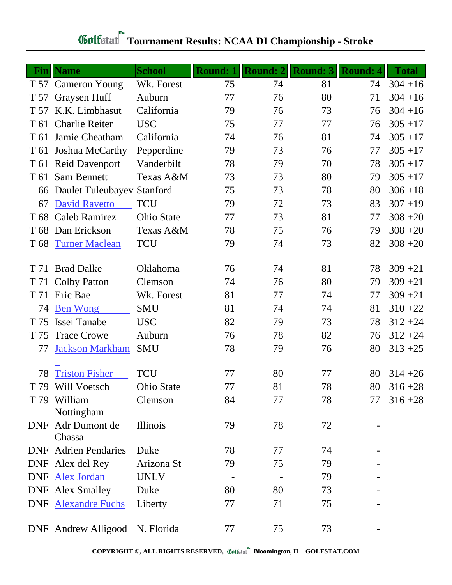|      | Fin  Name                      | <b>School</b>     | <b>Round: 1</b> | <b>Round: 2</b> | <b>Round: 3</b> | <b>Round: 4</b> | <b>Total</b> |
|------|--------------------------------|-------------------|-----------------|-----------------|-----------------|-----------------|--------------|
|      | T 57 Cameron Young             | Wk. Forest        | 75              | 74              | 81              | 74              | $304 + 16$   |
| T 57 | Graysen Huff                   | Auburn            | 77              | 76              | 80              | 71              | $304 + 16$   |
|      | T 57 K.K. Limbhasut            | California        | 79              | 76              | 73              | 76              | $304 + 16$   |
| T 61 | <b>Charlie Reiter</b>          | <b>USC</b>        | 75              | 77              | 77              | 76              | $305 + 17$   |
| T 61 | Jamie Cheatham                 | California        | 74              | 76              | 81              | 74              | $305 + 17$   |
| T 61 | Joshua McCarthy                | Pepperdine        | 79              | 73              | 76              | 77              | $305 + 17$   |
|      | T 61 Reid Davenport            | Vanderbilt        | 78              | 79              | 70              | 78              | $305 + 17$   |
| T 61 | Sam Bennett                    | Texas A&M         | 73              | 73              | 80              | 79              | $305 + 17$   |
|      | 66 Daulet Tuleubayev Stanford  |                   | 75              | 73              | 78              | 80              | $306 + 18$   |
| 67   | David Ravetto                  | <b>TCU</b>        | 79              | 72              | 73              | 83              | $307 + 19$   |
|      | T 68 Caleb Ramirez             | <b>Ohio State</b> | 77              | 73              | 81              | 77              | $308 + 20$   |
|      | T 68 Dan Erickson              | Texas A&M         | 78              | 75              | 76              | 79              | $308 + 20$   |
| T 68 | <b>Turner Maclean</b>          | <b>TCU</b>        | 79              | 74              | 73              | 82              | $308 + 20$   |
| T 71 | <b>Brad Dalke</b>              | Oklahoma          | 76              | 74              | 81              | 78              | $309 + 21$   |
| T 71 | <b>Colby Patton</b>            | Clemson           | 74              | 76              | 80              | 79              | $309 + 21$   |
| T 71 | Eric Bae                       | Wk. Forest        | 81              | 77              | 74              | 77              | $309 + 21$   |
| 74   | <b>Ben Wong</b>                | <b>SMU</b>        | 81              | 74              | 74              | 81              | $310 + 22$   |
| T 75 | Issei Tanabe                   | <b>USC</b>        | 82              | 79              | 73              | 78              | $312 + 24$   |
| T 75 | <b>Trace Crowe</b>             | Auburn            | 76              | 78              | 82              | 76              | $312 + 24$   |
| 77   | <b>Jackson Markham</b>         | <b>SMU</b>        | 78              | 79              | 76              | 80              | $313 + 25$   |
| 78   | <b>Triston Fisher</b>          | <b>TCU</b>        | 77              | 80              | 77              | 80              | $314 + 26$   |
| T 79 | Will Voetsch                   | <b>Ohio State</b> | 77              | 81              | 78              | 80              | $316 + 28$   |
|      | T 79 William<br>Nottingham     | Clemson           | 84              | 77              | 78              | 77              | $316 + 28$   |
|      | DNF Adr Dumont de<br>Chassa    | Illinois          | 79              | 78              | 72              |                 |              |
|      | <b>DNF</b> Adrien Pendaries    | Duke              | 78              | 77              | 74              |                 |              |
|      | DNF Alex del Rey               | Arizona St        | 79              | 75              | 79              |                 |              |
|      | DNF Alex Jordan                | <b>UNLV</b>       |                 |                 | 79              |                 |              |
|      | <b>DNF</b> Alex Smalley        | Duke              | 80              | 80              | 73              |                 |              |
|      | <b>DNF</b> Alexandre Fuchs     | Liberty           | 77              | 71              | 75              |                 |              |
|      | DNF Andrew Alligood N. Florida |                   | 77              | 75              | 73              |                 |              |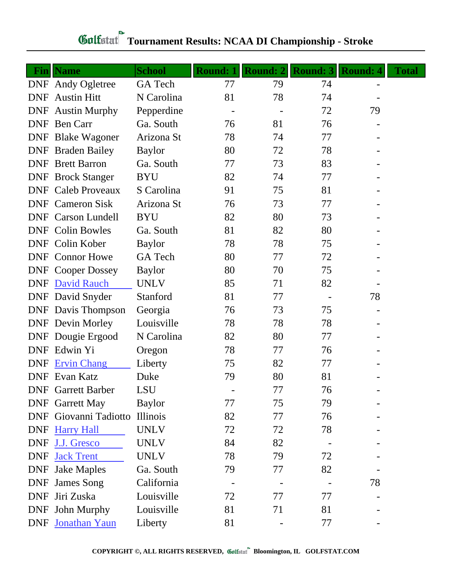|            | <b>Fin</b> Name           | <b>School</b>  | <b>Round: 1</b> | <b>Round: 2</b> | <b>Round: 3</b> | <b>Round: 4</b> | <b>Total</b> |
|------------|---------------------------|----------------|-----------------|-----------------|-----------------|-----------------|--------------|
|            | DNF Andy Ogletree         | <b>GA</b> Tech | 77              | 79              | 74              |                 |              |
| DNF        | <b>Austin Hitt</b>        | N Carolina     | 81              | 78              | 74              |                 |              |
|            | <b>DNF</b> Austin Murphy  | Pepperdine     |                 |                 | 72              | 79              |              |
|            | DNF Ben Carr              | Ga. South      | 76              | 81              | 76              |                 |              |
|            | <b>DNF</b> Blake Wagoner  | Arizona St     | 78              | 74              | 77              |                 |              |
|            | <b>DNF</b> Braden Bailey  | <b>Baylor</b>  | 80              | 72              | 78              |                 |              |
|            | <b>DNF</b> Brett Barron   | Ga. South      | 77              | 73              | 83              |                 |              |
|            | <b>DNF</b> Brock Stanger  | <b>BYU</b>     | 82              | 74              | 77              |                 |              |
|            | <b>DNF</b> Caleb Proveaux | S Carolina     | 91              | 75              | 81              |                 |              |
|            | <b>DNF</b> Cameron Sisk   | Arizona St     | 76              | 73              | 77              |                 |              |
|            | <b>DNF</b> Carson Lundell | <b>BYU</b>     | 82              | 80              | 73              |                 |              |
|            | <b>DNF</b> Colin Bowles   | Ga. South      | 81              | 82              | 80              |                 |              |
|            | DNF Colin Kober           | <b>Baylor</b>  | 78              | 78              | 75              |                 |              |
|            | <b>DNF</b> Connor Howe    | GA Tech        | 80              | 77              | 72              |                 |              |
|            | <b>DNF</b> Cooper Dossey  | <b>Baylor</b>  | 80              | 70              | 75              |                 |              |
|            | <b>DNF</b> David Rauch    | <b>UNLV</b>    | 85              | 71              | 82              |                 |              |
|            | <b>DNF</b> David Snyder   | Stanford       | 81              | 77              |                 | 78              |              |
|            | <b>DNF</b> Davis Thompson | Georgia        | 76              | 73              | 75              |                 |              |
|            | <b>DNF</b> Devin Morley   | Louisville     | 78              | 78              | 78              |                 |              |
|            | <b>DNF</b> Dougie Ergood  | N Carolina     | 82              | 80              | 77              |                 |              |
|            | DNF Edwin Yi              | Oregon         | 78              | 77              | 76              |                 |              |
|            | DNF Ervin Chang           | Liberty        | 75              | 82              | 77              |                 |              |
|            | <b>DNF</b> Evan Katz      | Duke           | 79              | 80              | 81              |                 |              |
|            | <b>DNF</b> Garrett Barber | LSU            |                 | 77              | 76              |                 |              |
|            | <b>DNF</b> Garrett May    | <b>Baylor</b>  | 77              | 75              | 79              |                 |              |
| DNF        | Giovanni Tadiotto         | Illinois       | 82              | 77              | 76              |                 |              |
|            | DNF Harry Hall            | <b>UNLV</b>    | 72              | 72              | 78              |                 |              |
| <b>DNF</b> | J.J. Gresco               | <b>UNLV</b>    | 84              | 82              |                 |                 |              |
| <b>DNF</b> | <b>Jack Trent</b>         | <b>UNLV</b>    | 78              | 79              | 72              |                 |              |
| <b>DNF</b> | <b>Jake Maples</b>        | Ga. South      | 79              | 77              | 82              |                 |              |
| <b>DNF</b> | <b>James Song</b>         | California     |                 |                 |                 | 78              |              |
| <b>DNF</b> | Jiri Zuska                | Louisville     | 72              | 77              | 77              |                 |              |
|            | DNF John Murphy           | Louisville     | 81              | 71              | 81              |                 |              |
|            | <b>DNF</b> Jonathan Yaun  | Liberty        | 81              |                 | 77              |                 |              |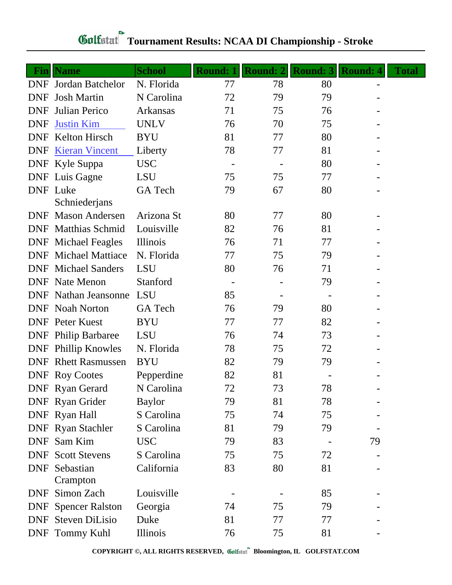| Fin        | <b>Name</b>                      | <b>School</b>  | <b>Round: 1</b> | Round: 2 | <b>Round: 3</b> | <b>Round: 4</b> | <b>Total</b> |
|------------|----------------------------------|----------------|-----------------|----------|-----------------|-----------------|--------------|
|            | <b>DNF</b> Jordan Batchelor      | N. Florida     | 77              | 78       | 80              |                 |              |
| <b>DNF</b> | <b>Josh Martin</b>               | N Carolina     | 72              | 79       | 79              |                 |              |
| <b>DNF</b> | Julian Perico                    | Arkansas       | 71              | 75       | 76              |                 |              |
| <b>DNF</b> | <b>Justin Kim</b>                | <b>UNLV</b>    | 76              | 70       | 75              |                 |              |
| <b>DNF</b> | <b>Kelton Hirsch</b>             | <b>BYU</b>     | 81              | 77       | 80              |                 |              |
| <b>DNF</b> | <b>Kieran Vincent</b>            | Liberty        | 78              | 77       | 81              |                 |              |
|            | DNF Kyle Suppa                   | <b>USC</b>     |                 |          | 80              |                 |              |
|            | <b>DNF</b> Luis Gagne            | <b>LSU</b>     | 75              | 75       | 77              |                 |              |
|            | <b>DNF</b> Luke<br>Schniederjans | GA Tech        | 79              | 67       | 80              |                 |              |
| <b>DNF</b> | <b>Mason Andersen</b>            | Arizona St     | 80              | 77       | 80              |                 |              |
| DNF        | <b>Matthias Schmid</b>           | Louisville     | 82              | 76       | 81              |                 |              |
|            | <b>DNF</b> Michael Feagles       | Illinois       | 76              | 71       | 77              |                 |              |
| <b>DNF</b> | <b>Michael Mattiace</b>          | N. Florida     | 77              | 75       | 79              |                 |              |
|            | <b>DNF</b> Michael Sanders       | <b>LSU</b>     | 80              | 76       | 71              |                 |              |
| <b>DNF</b> | Nate Menon                       | Stanford       |                 |          | 79              |                 |              |
|            | <b>DNF</b> Nathan Jeansonne      | <b>LSU</b>     | 85              |          |                 |                 |              |
|            | <b>DNF</b> Noah Norton           | <b>GA</b> Tech | 76              | 79       | 80              |                 |              |
|            | <b>DNF</b> Peter Kuest           | <b>BYU</b>     | 77              | 77       | 82              |                 |              |
|            | <b>DNF</b> Philip Barbaree       | <b>LSU</b>     | 76              | 74       | 73              |                 |              |
| <b>DNF</b> | Phillip Knowles                  | N. Florida     | 78              | 75       | 72              |                 |              |
| <b>DNF</b> | <b>Rhett Rasmussen</b>           | <b>BYU</b>     | 82              | 79       | 79              |                 |              |
|            | <b>DNF</b> Roy Cootes            | Pepperdine     | 82              | 81       |                 |                 |              |
|            | <b>DNF</b> Ryan Gerard           | N Carolina     | 72              | 73       | 78              |                 |              |
|            | DNF Ryan Grider                  | <b>Baylor</b>  | 79              | 81       | 78              |                 |              |
|            | DNF Ryan Hall                    | S Carolina     | 75              | 74       | 75              |                 |              |
|            | <b>DNF</b> Ryan Stachler         | S Carolina     | 81              | 79       | 79              |                 |              |
|            | DNF Sam Kim                      | <b>USC</b>     | 79              | 83       |                 | 79              |              |
| DNF        | <b>Scott Stevens</b>             | S Carolina     | 75              | 75       | 72              |                 |              |
| <b>DNF</b> | Sebastian<br>Crampton            | California     | 83              | 80       | 81              |                 |              |
|            | DNF Simon Zach                   | Louisville     |                 |          | 85              |                 |              |
| DNF        | <b>Spencer Ralston</b>           | Georgia        | 74              | 75       | 79              |                 |              |
|            | <b>DNF</b> Steven DiLisio        | Duke           | 81              | 77       | 77              |                 |              |
|            | DNF Tommy Kuhl                   | Illinois       | 76              | 75       | 81              |                 |              |